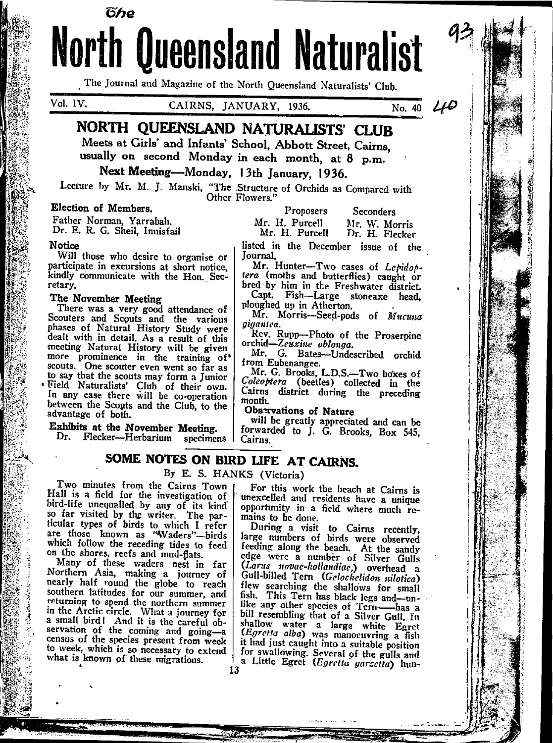# **North Queensland Naturalist**

The Journal and Magazine of the North Queensland Naturalists' Club.

Vol. IV.

CAIRNS, JANUARY, 1936.

 $\overline{N_{0.}}$  40  $\overline{L}$ 

# NORTH OUEENSLAND NATURALISTS' CLUR

Meets at Girls' and Infants' School. Abbott Street, Cairns. usually on second Monday in each month, at 8 p.m.

# Next Meeting-Monday, 13th January, 1936.

Lecture by Mr. M. J. Manski, "The Structure of Orchids as Compared with Other Flowers.'

#### Election of Members.

Father Norman, Yarrabah. Dr. E. R. G. Sheil, Innisfail

#### **Notice**

Will those who desire to organise or participate in excursions at short notice. kindly communicate with the Hon. Secretary.

#### The November Meeting

There was a very good attendance of Scouters and Scouts and the various phases of Natural History Study were dealt with in detail. As a result of this meeting Natural History will be given more prominence in the training of scouts. One scouter even went so far as to say that the scouts may form a Junior Field Naturalists' Club of their own. In any case there will be co-operation between the Scouts and the Club, to the advantage of both.

#### Exhibits at the November Meeting.

Dr. Flecker---Herbarium specimens |

Proposers **Seconders** Mr. H. Purcell Mr. W. Morris Mr. H. Purcell Dr. H. Flecker

listed in the December issue of the lournal.

Mr. Hunter-Two cases of Lepidoptera (moths and butterflies) caught or

bred by him in the Freshwater district. Capt. Fish-Large stoneaxe head. ploughed up in Atherton.

Mr. Morris-Seed-pods of Mucuna giaantea.

Rev. Rupp-Photo of the Proserpine orchid-Zeuxine oblonga.

Mr. G. Bates-Undescribed orchid from Eubenangee.<br>Mr. G. Brooks, L.D.S.-Two boxes of

Colcoptera (beetles) collected in the Cairns district during the preceding month.

Observations of Nature

will be greatly appreciated and can be forwarded to J. G. Brooks, Box 545, Cairns.

## SOME NOTES ON BIRD LIFE AT CAIRNS.

By E. S. HANKS (Victoria)

Two minutes from the Cairns Town Hall is a field for the investigation of bird-life unequalled by any of its kind ticular types of birds to which I refer are those known as "Waders"-birds which follow the receding tides to feed on the shores, reefs and mud-flats.

Many of these waders nest in far Northern Asia, making a journey of nearly half round the globe to reach southern latitudes for our summer, and returning to spend the northern summer<br>in the Arctic circle. What a journey for a small bird! And it is the careful observation of the coming and going-a to week, which is so necessary to extend what is known of these migrations.

13

For this work the beach at Cairns is unexcelled and residents have a unique opportunity in a field where much remains to be done.

During a visit to Cairns recently, large numbers of birds were observed feeding along the beach. At the sandy edge were a number of Silver Gulls (Larus novae-hollandiae,) overhead a<br>Gull-billed Tern (Gelochelidon nilotica) flew searching the shallows for small fish. This Tern has black legs and-unlike any other species of Tern-has a bill resembling that of a Silver Gull. In shallow water a large white Egret (Egretta alba) was manoeuvring a fish it had just caught into a suitable position for swallowing. Several of the gulls and a Little Egret (Egretta garzetta) hun-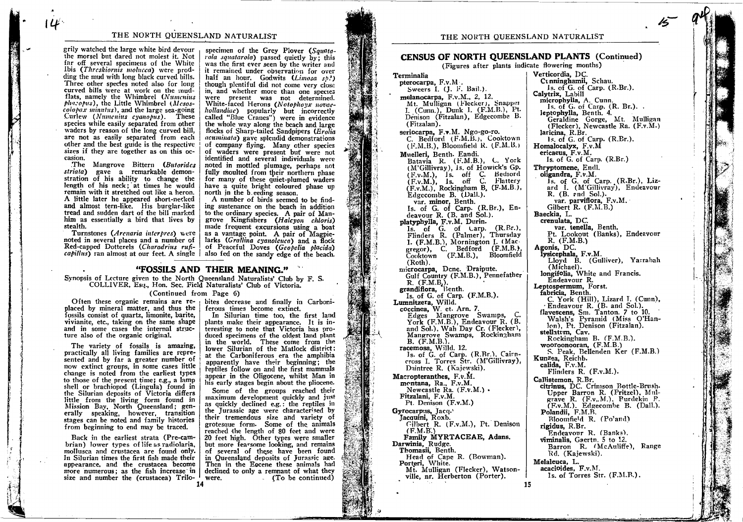#### THE NORTH QUEENSLAND NATURALIST

grily watched the large white bird devour the morsel but dared not molest it. Not far off several specimens of the White Ibis (Threskiornis molucca) were prodding the mud with long black curved bills. Three other species noted also for long curved bills were at work on the mudflats, namely the Whimbrel (Numerius phacopus), the Little Whimbrel (Mesos $colopax$  minutus), and the large sea-going Curlew (Numenius cyanopus). These species while easily separated from other waders by reason of the long curved bill, are not as easily separated from each other and the best guide is the respective sizes if they are together as on this occasion.

The Mangrove Bittern (Butorides striata) gave a remarkable demonstration of his ability to change the length of his neck; at times he would remain with it stretched out like a heron. A little later he appeared short-necked and almost tern-like. His burglar-like tread and sudden dart of the bill marked him as essentially a bird that lives by stealth.

Turnstones (Arenaria interpres) were noted in several places and a number of Red-capped Dotterels (Charadrius rufi-

specimen of the Grey Plover (Squatarola squatarola) passed quietly by; this was the first ever seen by the writer and it remained under observation for over half an hour. Godwits  $(Limesa sh^2)$ though plentiful did not come very close in, and whether more than one species were present was not determined. White-faced Herons (Notophoyx novaehollandiac) popularly but incorrectly<br>called "Blue Cranes") were in evidence the whole way along the beach and large flocks of Sharp-tailed Sandpipers (Erolia acuminata) gave splendid demonstrations of company flying. Many other species of waders were present but were not identified and several individuals were noted in mottled plumage, perhaps not fully moulted from their northern phase for many of these quiet-plumed waders have a quite bright coloured phase up north in the b eeding season.

A number of birds seemed to be finding sustenance on the beach in addition to the ordinary species. A pair of Mangrove Kingfishers (Halcyon chloris) made frequent excursions using a boat as a vantage point. A pair of Magpielarks (Grallina cyanoleuca) and a flock of Peaceful Doves (Geopelia placida) capillus) ran almost at our feet. A single | also fed on the sandy edge of the beach.

#### "FOSSILS AND THEIR MEANING."

Synopsis of Lecture given to the North Queensland Naturalists' Club by F. S. COLLIVER, Esq., Hon. Sec. Field Naturalists' Club of Victoria.

(Continued from Page 6)

Often these organic remains are replaced by mineral matter, and thus the fossils consist of quartz, limonite, barite, vivianite, etc., taking on the same shape and in some cases the internal struc-

The variety of fossils is amazing, practically all living families are represented and by far a greater number of now extinct groups, in some cases little change is noted from the earliest types to those of the present time; e.g., a lamp shell or brachiopod (Lingula) found in the Silurian deposits of Victoria differs<br>little from the living form found in Mission Bay, North Queensland; generally speaking, however, transition<br>stages can be noted and family histories from beginning to end may be traced.

ture also of the organic original.

Back in the earliest strata (Pre-cambrian) lower types of life as radiolaria, mollusca and crustacea are found only. In Silurian times the first fish made their appearance, and the crustacea become more numerous; as the fish increase in size and number the (crustacea) Trilo-

bites decrease and finally in Carboniferous times become extinct. In Silurian time too, the first land

plants make their appearance. It is interesting to note that Victoria has produced specimens of the oldest land plant in the world. These come from the lower Silurian of the Matlock district: at the Carboniferous era the amphibia apparently have their beginning; the reptiles follow on and the first mammals appear in the Oligocene, whilst Man in his early stages begin about the pliocene.

Some of the groups reached their maximum development quickly and just as quickly declined e.g.: the reptiles in the Turassic age were characterised by their tremendous size and variety of grotesque form. Some of the animals<br>reached the length of 80 feet and were 20 feet high. Other types were smaller but more fearsome looking, and remains of several of these have been found in Queensland deposits of Jurassic age. Then in the Eocene these animals had declined to only a remnant of what they were. (To be continued)

### **CENSUS OF NORTH QUEENSLAND PLANTS (Continued)**

(Figures after plants indicate flowering months)

Terminalia pterocarpa, F.v.M. Sweers I. (J. F. Bail.). melanocarpa, F.v.M., 2, 12. Mt. Mulligan (Flecker), Snapper I. (Cunn.), Dunk I. (F.M.B.), Pt. Denison (Fitzalan), Edgecombe B. (Fitzalan). seriocarpa, F.v.M. Ngo-go-ro. C. Bedford (F.M.B.), Cooktown (F.M.B.), Bloomfield R. (F.M.B.) Muelleri, Benth. Eandi. Batavia R. (F.M.B.), C. York (M'Gillivray), Is. of Howick's Gp. (F.v.M.), Is. off C. Bediord<br>(F.v.M.), Is. off C. Flattery<br>(F.v.M.), Is. off C. Flattery<br>(F.v.M.), Rockingham B. (F.M.B.),<br>Edgecombe B. (Dall.). var. minor, Benth.<br>Is. of G. of Carp. (R.Br.), Endeavour R. (B. and Sol.). platyphylla, F.v.M. Durin. Is. of G. of Larp. (R.Br.), Flinders R. (Palmer), Thursday I. (F.M.B.), Mornington I. (Macgregor), C. Bedford (F.M.B.) Cooktown (F.M.B.), Bloomfield  $(Roth)$ . microcarpa, Dene. Draipute. Gulf Country (F.M.B.), Pennefather R. (F.M.B.).<br>grandiflora, B. (F.M.B.).<br>Is, of G. of Carp. (F.M.B.). Lumnitzera, Willd.<br>coccinea, W. et. Arn. 7. Edges Mangrove Swamps, C.<br>York (F.M.B.), Endeavour R. (B. and Sol.), Wah Day Cr. (Flecker), Mangrove Swamps, Rockingham B. (F.M.B.). racemosa, Willd. 12.<br>Is. of G. of Carp. (R.Br.), Cairncross I. Torres Str. (M'Gillivray), Daintree R. (Kaiewski). Macropteranthes, F.v.M. montana, Ra., F.v.M. Newcastle Ra. (F.v.M.) . Fitzalani, F.v.M. Pt. Denison (F.v.M.) Gyrocarpus, Jacq. Jacquini, Roxb. Cilbert R. (F.v.M.), Pt. Denison  $(F.M.B.)$ Family MYRTACEAE, Adans. Darwinia, Rudge. Thomasii, Benth. Head of Cape R. (Bowman). Porteri, White. Mt. Mulligan (Flecker), Watsonville, nr. Herberton (Porter). 15

Verticordia, DC. Cunninghamii, Schau. Is. of G. of Carp. (R.Br.). Calytrix, Labill microphylla, A. Cunn. Is. of G. of Carp. (R. Br.)... leptophylla, Benth. 4. Geraldine Gorge, Mt. Mulligan (Flecker), Newcastle Ra. (F.v.M.) laricina, R.Br. 1s. of G. of Carp. (R.Br.). Homalocalyx, F.v.M ericaeus, F.v.M. Is. of G. of Carp. (R.Br.) Thryptomene, Endl. oligandra, F.v.M. Is. of G. of Carp. (R.Br.), Liz-<br>ard I. (M'Gillivray), Endeavour R. (B. rnd Sol.). var. parviflora, F.v.M. Gilbert R. (F.M.B.) Baeckia, L. crenulata, DC. var. tenella, Benth. Pt. Lookout (Banks), Endeavour  $R.$  (F.M.B.) Agonis, DC.<br>
lysicephala, F.v.M.<br>
Lloyd B. (Gulliver), Yarrabah (Michael) longifolia, White and Francis. Endeavour<sub>R.</sub> Leptospermum, Forst. fabricia, Benth. C. York (Hill), Lizard I. (Cunn),<br>Endeavour R. (B. and Sol.).<br>flavescens, Sm. Tanton. 7 to 10. Walsh's Pyramid (Miss O'Hanlon), Pt. Denison (Fitzalan). stellatim. Cav. Rockingham B. (F.M.B.). wooroonooran, (F.M.B.) S. Peak, Bellenden Ker (F.M.B.) Kunzea, Reichb. calida, F.v.M. Flinders R. (F.v.M.). Callistemon, R.Br. citrinus, DC. Crimson Bottle-Brush-Upper Barron R. (Pritzel). Mulgrave R. (F.v., M.), Purdekin P.  $(F.v.M.)$ . Edgecombe B. (Dall.). Polandii, F.M.B. Bloomfield R. (Po'and) rigidus, R.Br. Endeavour R. (Banks). viminalis, Gaertn. 5 to 12. Barron R. (McAuliffe), Range Rd. (Kajewski). Melaleuca, L. acacioides, F.v.M. 1s. of Torres Str. (F.M.B.).